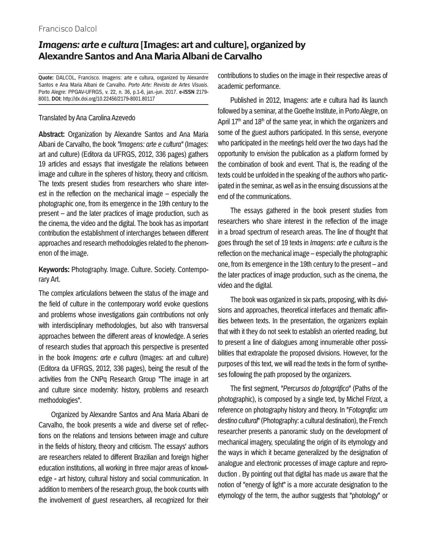## Francisco Dalcol

## *Imagens: arte e cultura* **[Images: art and culture], organized by Alexandre Santos and Ana Maria Albani de Carvalho**

**Quote:** DALCOL, Francisco. Imagens: arte e cultura, organized by Alexandre Santos e Ana Maria Albani de Carvalho. *Porto Arte: Revista de Artes Visuais*. Porto Alegre: PPGAV-UFRGS, v. 22, n. 36, p.1-6, jan.-jun. 2017. **e-ISSN** 2179- 8001. **DOI:** http://dx.doi.org/10.22456/2179-8001.80117

## Translated by Ana Carolina Azevedo

**Abstract:** Organization by Alexandre Santos and Ana Maria Albani de Carvalho, the book *"Imagens: arte e cultura"* (Images: art and culture) (Editora da UFRGS, 2012, 336 pages) gathers 19 articles and essays that investigate the relations between image and culture in the spheres of history, theory and criticism. The texts present studies from researchers who share interest in the reflection on the mechanical image – especially the photographic one, from its emergence in the 19th century to the present – and the later practices of image production, such as the cinema, the video and the digital. The book has as important contribution the establishment of interchanges between different approaches and research methodologies related to the phenomenon of the image.

**Keywords:** Photography. Image. Culture. Society. Contemporary Art.

The complex articulations between the status of the image and the field of culture in the contemporary world evoke questions and problems whose investigations gain contributions not only with interdisciplinary methodologies, but also with transversal approaches between the different areas of knowledge. A series of research studies that approach this perspective is presented in the book *Imagens: arte e cultura* (Images: art and culture) (Editora da UFRGS, 2012, 336 pages), being the result of the activities from the CNPq Research Group "The image in art and culture since modernity: history, problems and research methodologies".

Organized by Alexandre Santos and Ana Maria Albani de Carvalho, the book presents a wide and diverse set of reflections on the relations and tensions between image and culture in the fields of history, theory and criticism. The essays' authors are researchers related to different Brazilian and foreign higher education institutions, all working in three major areas of knowledge - art history, cultural history and social communication. In addition to members of the research group, the book counts with the involvement of guest researchers, all recognized for their contributions to studies on the image in their respective areas of academic performance.

Published in 2012, Imagens: arte e cultura had its launch followed by a seminar, at the Goethe Institute, in Porto Alegre, on April  $17<sup>th</sup>$  and  $18<sup>th</sup>$  of the same year, in which the organizers and some of the guest authors participated. In this sense, everyone who participated in the meetings held over the two days had the opportunity to envision the publication as a platform formed by the combination of book and event. That is, the reading of the texts could be unfolded in the speaking of the authors who participated in the seminar, as well as in the ensuing discussions at the end of the communications.

The essays gathered in the book present studies from researchers who share interest in the reflection of the image in a broad spectrum of research areas. The line of thought that goes through the set of 19 texts in *Imagens: arte e cultura* is the reflection on the mechanical image – especially the photographic one, from its emergence in the 19th century to the present – and the later practices of image production, such as the cinema, the video and the digital.

The book was organized in six parts, proposing, with its divisions and approaches, theoretical interfaces and thematic affinities between texts. In the presentation, the organizers explain that with it they do not seek to establish an oriented reading, but to present a line of dialogues among innumerable other possibilities that extrapolate the proposed divisions. However, for the purposes of this text, we will read the texts in the form of syntheses following the path proposed by the organizers.

The first segment, "*Percursos do fotográfico*" (Paths of the photographic), is composed by a single text, by Michel Frizot, a reference on photography history and theory. In "*Fotografia: um destino cultural*" (Photography: a cultural destination), the French researcher presents a panoramic study on the development of mechanical imagery, speculating the origin of its etymology and the ways in which it became generalized by the designation of analogue and electronic processes of image capture and reproduction . By pointing out that digital has made us aware that the notion of "energy of light" is a more accurate designation to the etymology of the term, the author suggests that "photology" or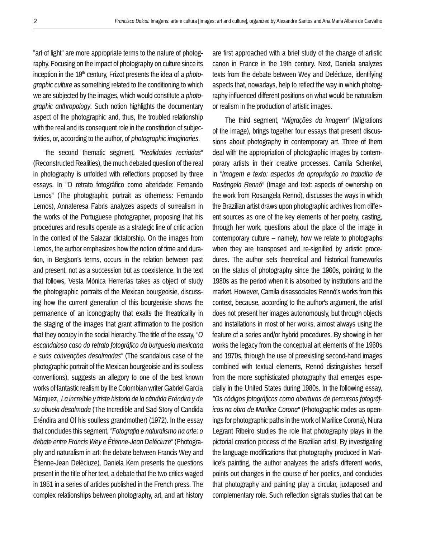"art of light" are more appropriate terms to the nature of photography. Focusing on the impact of photography on culture since its inception in the 19<sup>th</sup> century, Frizot presents the idea of a *photographic culture* as something related to the conditioning to which we are subjected by the images, which would constitute a *photographic anthropology*. Such notion highlights the documentary aspect of the photographic and, thus, the troubled relationship with the real and its consequent role in the constitution of subjectivities, or, according to the author, of *photographic imaginaries*.

the second thematic segment, *"Realidades recriadas"*  (Reconstructed Realities), the much debated question of the real in photography is unfolded with reflections proposed by three essays. In "O retrato fotográfico como alteridade: Fernando Lemos" (The photographic portrait as otherness: Fernando Lemos), Annateresa Fabris analyzes aspects of surrealism in the works of the Portuguese photographer, proposing that his procedures and results operate as a strategic line of critic action in the context of the Salazar dictatorship. On the images from Lemos, the author emphasizes how the notion of time and duration, in Bergson's terms, occurs in the relation between past and present, not as a succession but as coexistence. In the text that follows, Vesta Mónica Herrerías takes as object of study the photographic portraits of the Mexican bourgeoisie, discussing how the current generation of this bourgeoisie shows the permanence of an iconography that exalts the theatricality in the staging of the images that grant affirmation to the position that they occupy in the social hierarchy. The title of the essay, *"O escandaloso caso do retrato fotográfico da burguesia mexicana e suas convenções desalmadas"* (The scandalous case of the photographic portrait of the Mexican bourgeoisie and its soulless conventions), suggests an allegory to one of the best known works of fantastic realism by the Colombian writer Gabriel García Márquez, *La increíble y triste historia de la cándida Eréndira y de su abuela desalmada* (The Incredible and Sad Story of Candida Eréndira and Of his soulless grandmother) (1972). In the essay that concludes this segment, *"Fotografia e naturalismo na arte: o debate entre Francis Wey e Étienne-Jean Delécluze"* (Photography and naturalism in art: the debate between Francis Wey and Étienne-Jean Delécluze), Daniela Kern presents the questions present in the title of her text, a debate that the two critics waged in 1951 in a series of articles published in the French press. The complex relationships between photography, art, and art history are first approached with a brief study of the change of artistic canon in France in the 19th century. Next, Daniela analyzes texts from the debate between Wey and Delécluze, identifying aspects that, nowadays, help to reflect the way in which photography influenced different positions on what would be naturalism or realism in the production of artistic images.

The third segment, *"Migrações da imagem"* (Migrations of the image), brings together four essays that present discussions about photography in contemporary art. Three of them deal with the appropriation of photographic images by contemporary artists in their creative processes. Camila Schenkel, in *"Imagem e texto: aspectos da apropriação no trabalho de Rosângela Rennó"* (Image and text: aspects of ownership on the work from Rosangela Rennó), discusses the ways in which the Brazilian artist draws upon photographic archives from different sources as one of the key elements of her poetry, casting, through her work, questions about the place of the image in contemporary culture – namely, how we relate to photographs when they are transposed and re-signified by artistic procedures. The author sets theoretical and historical frameworks on the status of photography since the 1960s, pointing to the 1980s as the period when it is absorbed by institutions and the market. However, Camila disassociates Rennó's works from this context, because, according to the author's argument, the artist does not present her images autonomously, but through objects and installations in most of her works, almost always using the feature of a series and/or hybrid procedures. By showing in her works the legacy from the conceptual art elements of the 1960s and 1970s, through the use of preexisting second-hand images combined with textual elements, Rennó distinguishes herself from the more sophisticated photography that emerges especially in the United States during 1980s. In the following essay, *"Os códigos fotográficos como aberturas de percursos fotográficos na obra de Marilice Corona"* (Photographic codes as openings for photographic paths in the work of Marilice Corona), Niura Legrant Ribeiro studies the role that photography plays in the pictorial creation process of the Brazilian artist. By investigating the language modifications that photography produced in Marilice's painting, the author analyzes the artist's different works, points out changes in the course of her poetics, and concludes that photography and painting play a circular, juxtaposed and complementary role. Such reflection signals studies that can be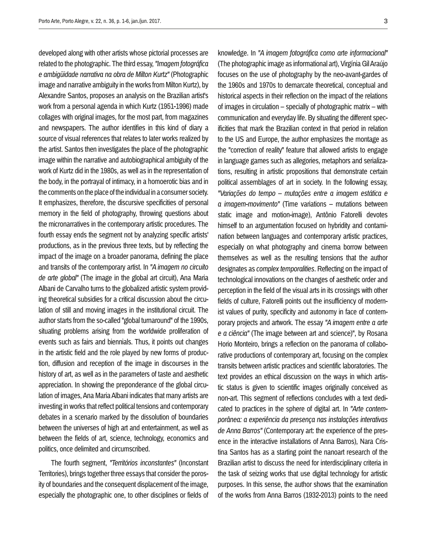developed along with other artists whose pictorial processes are related to the photographic. The third essay, *"Imagem fotográfica e ambigüidade narrativa na obra de Milton Kurtz"* (Photographic image and narrative ambiguity in the works from Milton Kurtz), by Alexandre Santos, proposes an analysis on the Brazilian artist's work from a personal agenda in which Kurtz (1951-1996) made collages with original images, for the most part, from magazines and newspapers. The author identifies in this kind of diary a source of visual references that relates to later works realized by the artist. Santos then investigates the place of the photographic image within the narrative and autobiographical ambiguity of the work of Kurtz did in the 1980s, as well as in the representation of the body, in the portrayal of intimacy, in a homoerotic bias and in the comments on the place of the individual in a consumer society. It emphasizes, therefore, the discursive specificities of personal memory in the field of photography, throwing questions about the micronarratives in the contemporary artistic procedures. The fourth essay ends the segment not by analyzing specific artists' productions, as in the previous three texts, but by reflecting the impact of the image on a broader panorama, defining the place and transits of the contemporary artist. In *"A imagem no circuito de arte global"* (The image in the global art circuit), Ana Maria Albani de Carvalho turns to the globalized artistic system providing theoretical subsidies for a critical discussion about the circulation of still and moving images in the institutional circuit. The author starts from the so-called "global turnaround" of the 1990s, situating problems arising from the worldwide proliferation of events such as fairs and biennials. Thus, it points out changes in the artistic field and the role played by new forms of production, diffusion and reception of the image in discourses in the history of art, as well as in the parameters of taste and aesthetic appreciation. In showing the preponderance of the global circulation of images, Ana Maria Albani indicates that many artists are investing in works that reflect political tensions and contemporary debates in a scenario marked by the dissolution of boundaries between the universes of high art and entertainment, as well as between the fields of art, science, technology, economics and politics, once delimited and circumscribed.

The fourth segment, *"Territórios inconstantes"* (Inconstant Territories), brings together three essays that consider the porosity of boundaries and the consequent displacement of the image, especially the photographic one, to other disciplines or fields of knowledge. In *"A imagem fotográfica como arte informacional"*  (The photographic image as informational art), Virgínia Gil Araújo focuses on the use of photography by the neo-avant-gardes of the 1960s and 1970s to demarcate theoretical, conceptual and historical aspects in their reflection on the impact of the relations of images in circulation – specially of photographic matrix – with communication and everyday life. By situating the different specificities that mark the Brazilian context in that period in relation to the US and Europe, the author emphasizes the montage as the "correction of reality" feature that allowed artists to engage in language games such as allegories, metaphors and serializations, resulting in artistic propositions that demonstrate certain political assemblages of art in society. In the following essay, *"Variações do tempo – mutações entre a imagem estática e a imagem-movimento"* (Time variations – mutations between static image and motion-image), Antônio Fatorelli devotes himself to an argumentation focused on hybridity and contamination between languages and contemporary artistic practices, especially on what photography and cinema borrow between themselves as well as the resulting tensions that the author designates as *complex temporalities*. Reflecting on the impact of technological innovations on the changes of aesthetic order and perception in the field of the visual arts in its crossings with other fields of culture, Fatorelli points out the insufficiency of modernist values of purity, specificity and autonomy in face of contemporary projects and artwork. The essay *"A imagem entre a arte e a ciência"* (The image between art and science)", by Rosana Horio Monteiro, brings a reflection on the panorama of collaborative productions of contemporary art, focusing on the complex transits between artistic practices and scientific laboratories. The text provides an ethical discussion on the ways in which artistic status is given to scientific images originally conceived as non-art. This segment of reflections concludes with a text dedicated to practices in the sphere of digital art. In *"Arte contemporânea: a experiência da presença nas instalações interativas de Anna Barros"* (Contemporary art: the experience of the presence in the interactive installations of Anna Barros), Nara Cristina Santos has as a starting point the nanoart research of the Brazilian artist to discuss the need for interdisciplinary criteria in

the task of seizing works that use digital technology for artistic purposes. In this sense, the author shows that the examination of the works from Anna Barros (1932-2013) points to the need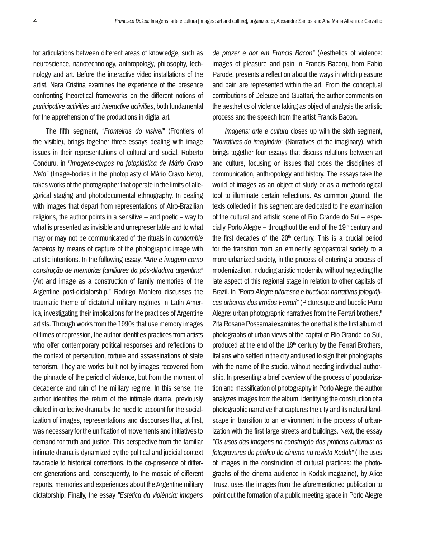for articulations between different areas of knowledge, such as neuroscience, nanotechnology, anthropology, philosophy, technology and art. Before the interactive video installations of the artist, Nara Cristina examines the experience of the presence confronting theoretical frameworks on the different notions of *participative activities* and *interactive activities*, both fundamental for the apprehension of the productions in digital art.

The fifth segment, *"Fronteiras do visível"* (Frontiers of the visible), brings together three essays dealing with image issues in their representations of cultural and social. Roberto Conduru, in *"Imagens-corpos na fotoplástica de Mário Cravo Neto"* (Image-bodies in the photoplasty of Mário Cravo Neto), takes works of the photographer that operate in the limits of allegorical staging and photodocumental ethnography. In dealing with images that depart from representations of Afro-Brazilian religions, the author points in a sensitive  $-$  and poetic  $-$  way to what is presented as invisible and unrepresentable and to what may or may not be communicated of the rituals in *candomblé terreiros* by means of capture of the photographic image with artistic intentions. In the following essay, *"Arte e imagem como construção de memórias familiares da pós-ditadura argentina"* (Art and image as a construction of family memories of the Argentine post-dictatorship," Rodrigo Montero discusses the traumatic theme of dictatorial military regimes in Latin America, investigating their implications for the practices of Argentine artists. Through works from the 1990s that use memory images of times of repression, the author identifies practices from artists who offer contemporary political responses and reflections to the context of persecution, torture and assassinations of state terrorism. They are works built not by images recovered from the pinnacle of the period of violence, but from the moment of decadence and ruin of the military regime. In this sense, the author identifies the return of the intimate drama, previously diluted in collective drama by the need to account for the socialization of images, representations and discourses that, at first, was necessary for the unification of movements and initiatives to demand for truth and justice. This perspective from the familiar intimate drama is dynamized by the political and judicial context favorable to historical corrections, to the co-presence of different generations and, consequently, to the mosaic of different reports, memories and experiences about the Argentine military dictatorship. Finally, the essay *"Estética da violência: imagens* 

*de prazer e dor em Francis Bacon"* (Aesthetics of violence: images of pleasure and pain in Francis Bacon), from Fabio Parode, presents a reflection about the ways in which pleasure and pain are represented within the art. From the conceptual contributions of Deleuze and Guattari, the author comments on the aesthetics of violence taking as object of analysis the artistic process and the speech from the artist Francis Bacon.

*Imagens: arte e cultura* closes up with the sixth segment, *"Narrativas do imaginário"* (Narratives of the imaginary), which brings together four essays that discuss relations between art and culture, focusing on issues that cross the disciplines of communication, anthropology and history. The essays take the world of images as an object of study or as a methodological tool to illuminate certain reflections. As common ground, the texts collected in this segment are dedicated to the examination of the cultural and artistic scene of Rio Grande do Sul – especially Porto Alegre – throughout the end of the  $19<sup>th</sup>$  century and the first decades of the  $20<sup>th</sup>$  century. This is a crucial period for the transition from an eminently agropastoral society to a more urbanized society, in the process of entering a process of modernization, including artistic modernity, without neglecting the late aspect of this regional stage in relation to other capitals of Brazil. In *"Porto Alegre pitoresca e bucólica: narrativas fotográficas urbanas dos irmãos Ferrari"* (Picturesque and bucolic Porto Alegre: urban photographic narratives from the Ferrari brothers," Zita Rosane Possamai examines the one that is the first album of photographs of urban views of the capital of Rio Grande do Sul, produced at the end of the  $19<sup>th</sup>$  century by the Ferrari Brothers, Italians who settled in the city and used to sign their photographs with the name of the studio, without needing individual authorship. In presenting a brief overview of the process of popularization and massification of photography in Porto Alegre, the author analyzes images from the album, identifying the construction of a photographic narrative that captures the city and its natural landscape in transition to an environment in the process of urbanization with the first large streets and buildings. Next, the essay *"Os usos das imagens na construção das práticas culturais: as fotogravuras do público do cinema na revista Kodak"* (The uses of images in the construction of cultural practices: the photographs of the cinema audience in Kodak magazine), by Alice Trusz, uses the images from the aforementioned publication to point out the formation of a public meeting space in Porto Alegre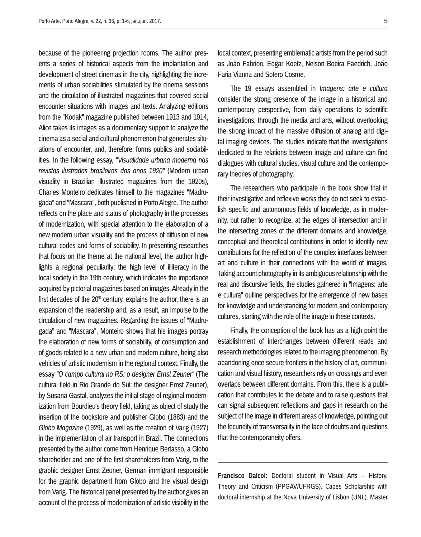because of the pioneering projection rooms. The author presents a series of historical aspects from the implantation and development of street cinemas in the city, highlighting the increments of urban sociabilities stimulated by the cinema sessions and the circulation of illustrated magazines that covered social encounter situations with images and texts. Analyzing editions from the "Kodak" magazine published between 1913 and 1914, Alice takes its images as a documentary support to analyze the cinema as a social and cultural phenomenon that generates situations of encounter, and, therefore, forms publics and sociabilities. In the following essay, *"Visualidade urbana moderna nas revistas ilustradas brasileiras dos anos 1920"* (Modern urban visuality in Brazilian illustrated magazines from the 1920s), Charles Monteiro dedicates himself to the magazines "Madrugada" and "Mascara", both published in Porto Alegre. The author reflects on the place and status of photography in the processes of modernization, with special attention to the elaboration of a new modern urban visuality and the process of diffusion of new cultural codes and forms of sociability. In presenting researches that focus on the theme at the national level, the author highlights a regional peculiarity: the high level of illiteracy in the local society in the 19th century, which indicates the importance acquired by pictorial magazines based on images. Already in the first decades of the  $20<sup>th</sup>$  century, explains the author, there is an expansion of the readership and, as a result, an impulse to the circulation of new magazines. Regarding the issues of "Madrugada" and "Mascara", Monteiro shows that his images portray the elaboration of new forms of sociability, of consumption and of goods related to a new urban and modern culture, being also vehicles of artistic modernism in the regional context. Finally, the essay *"O campo cultural no RS: o designer Ernst Zeuner"* (The cultural field in Rio Grande do Sul: the designer Ernst Zeuner), by Susana Gastal, analyzes the initial stage of regional modernization from Bourdieu's theory field, taking as object of study the insertion of the bookstore and publisher Globo (1883) and the *Globo Magazine* (1929), as well as the creation of Varig (1927) in the implementation of air transport in Brazil. The connections presented by the author come from Henrique Bertasso, a Globo shareholder and one of the first shareholders from Varig, to the graphic designer Ernst Zeuner, German immigrant responsible for the graphic department from Globo and the visual design from Varig. The historical panel presented by the author gives an account of the process of modernization of artistic visibility in the local context, presenting emblematic artists from the period such as João Fahrion, Edgar Koetz, Nelson Boeira Faedrich, João Faria Vianna and Sotero Cosme.

The 19 essays assembled in *Imagens: arte e cultura*  consider the strong presence of the image in a historical and contemporary perspective, from daily operations to scientific investigations, through the media and arts, without overlooking the strong impact of the massive diffusion of analog and digital imaging devices. The studies indicate that the investigations dedicated to the relations between image and culture can find dialogues with cultural studies, visual culture and the contemporary theories of photography.

The researchers who participate in the book show that in their investigative and reflexive works they do not seek to establish specific and autonomous fields of knowledge, as in modernity, but rather to recognize, at the edges of intersection and in the intersecting zones of the different domains and knowledge, conceptual and theoretical contributions in order to identify new contributions for the reflection of the complex interfaces between art and culture in their connections with the world of images. Taking account photography in its ambiguous relationship with the real and discursive fields, the studies gathered in "Imagens: arte e cultura" outline perspectives for the emergence of new bases for knowledge and understanding for modern and contemporary cultures, starting with the role of the image in these contexts.

Finally, the conception of the book has as a high point the establishment of interchanges between different reads and research methodologies related to the imaging phenomenon. By abandoning once secure frontiers in the history of art, communication and visual history, researchers rely on crossings and even overlaps between different domains. From this, there is a publication that contributes to the debate and to raise questions that can signal subsequent reflections and gaps in research on the subject of the image in different areas of knowledge, pointing out the fecundity of transversality in the face of doubts and questions that the contemporaneity offers.

**Francisco Dalcol:** Doctoral student in Visual Arts – History, Theory and Criticism (PPGAV/UFRGS). Capes Scholarship with doctoral internship at the Nova University of Lisbon (UNL). Master